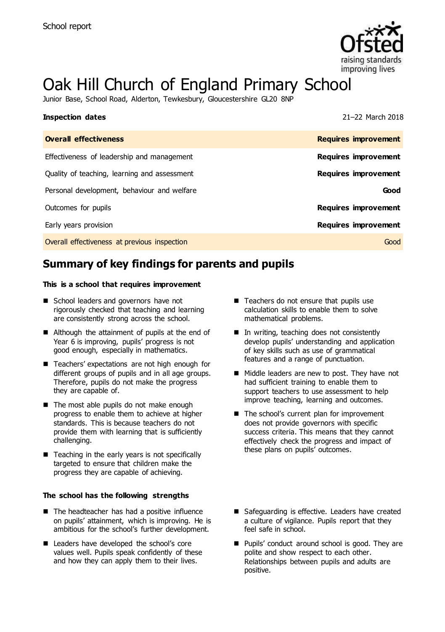

# Oak Hill Church of England Primary School

Junior Base, School Road, Alderton, Tewkesbury, Gloucestershire GL20 8NP

| <b>Inspection dates</b>                      | 21-22 March 2018            |
|----------------------------------------------|-----------------------------|
| <b>Overall effectiveness</b>                 | <b>Requires improvement</b> |
| Effectiveness of leadership and management   | <b>Requires improvement</b> |
| Quality of teaching, learning and assessment | <b>Requires improvement</b> |
| Personal development, behaviour and welfare  | Good                        |
| Outcomes for pupils                          | <b>Requires improvement</b> |
| Early years provision                        | <b>Requires improvement</b> |
| Overall effectiveness at previous inspection | Good                        |

# **Summary of key findings for parents and pupils**

#### **This is a school that requires improvement**

- School leaders and governors have not rigorously checked that teaching and learning are consistently strong across the school.
- Although the attainment of pupils at the end of Year 6 is improving, pupils' progress is not good enough, especially in mathematics.
- Teachers' expectations are not high enough for different groups of pupils and in all age groups. Therefore, pupils do not make the progress they are capable of.
- The most able pupils do not make enough progress to enable them to achieve at higher standards. This is because teachers do not provide them with learning that is sufficiently challenging.
- $\blacksquare$  Teaching in the early years is not specifically targeted to ensure that children make the progress they are capable of achieving.

#### **The school has the following strengths**

- The headteacher has had a positive influence on pupils' attainment, which is improving. He is ambitious for the school's further development.
- Leaders have developed the school's core values well. Pupils speak confidently of these and how they can apply them to their lives.
- Teachers do not ensure that pupils use calculation skills to enable them to solve mathematical problems.
- $\blacksquare$  In writing, teaching does not consistently develop pupils' understanding and application of key skills such as use of grammatical features and a range of punctuation.
- Middle leaders are new to post. They have not had sufficient training to enable them to support teachers to use assessment to help improve teaching, learning and outcomes.
- The school's current plan for improvement does not provide governors with specific success criteria. This means that they cannot effectively check the progress and impact of these plans on pupils' outcomes.
- Safeguarding is effective. Leaders have created a culture of vigilance. Pupils report that they feel safe in school.
- **Pupils'** conduct around school is good. They are polite and show respect to each other. Relationships between pupils and adults are positive.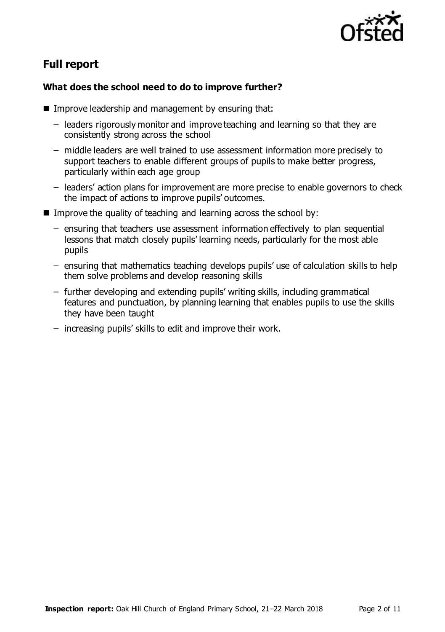

# **Full report**

### **What does the school need to do to improve further?**

- Improve leadership and management by ensuring that:
	- leaders rigorously monitor and improve teaching and learning so that they are consistently strong across the school
	- middle leaders are well trained to use assessment information more precisely to support teachers to enable different groups of pupils to make better progress, particularly within each age group
	- leaders' action plans for improvement are more precise to enable governors to check the impact of actions to improve pupils' outcomes.
- Improve the quality of teaching and learning across the school by:
	- ensuring that teachers use assessment information effectively to plan sequential lessons that match closely pupils' learning needs, particularly for the most able pupils
	- ensuring that mathematics teaching develops pupils' use of calculation skills to help them solve problems and develop reasoning skills
	- further developing and extending pupils' writing skills, including grammatical features and punctuation, by planning learning that enables pupils to use the skills they have been taught
	- increasing pupils' skills to edit and improve their work.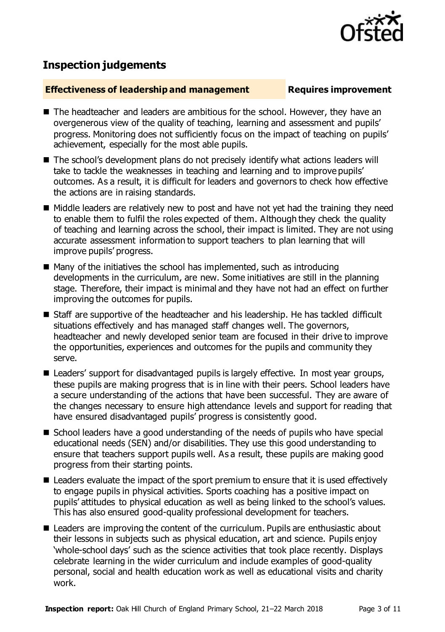

# **Inspection judgements**

#### **Effectiveness of leadership and management Requires improvement**

- The headteacher and leaders are ambitious for the school. However, they have an overgenerous view of the quality of teaching, learning and assessment and pupils' progress. Monitoring does not sufficiently focus on the impact of teaching on pupils' achievement, especially for the most able pupils.
- The school's development plans do not precisely identify what actions leaders will take to tackle the weaknesses in teaching and learning and to improve pupils' outcomes. As a result, it is difficult for leaders and governors to check how effective the actions are in raising standards.
- $\blacksquare$  Middle leaders are relatively new to post and have not yet had the training they need to enable them to fulfil the roles expected of them. Although they check the quality of teaching and learning across the school, their impact is limited. They are not using accurate assessment information to support teachers to plan learning that will improve pupils' progress.
- $\blacksquare$  Many of the initiatives the school has implemented, such as introducing developments in the curriculum, are new. Some initiatives are still in the planning stage. Therefore, their impact is minimal and they have not had an effect on further improving the outcomes for pupils.
- Staff are supportive of the headteacher and his leadership. He has tackled difficult situations effectively and has managed staff changes well. The governors, headteacher and newly developed senior team are focused in their drive to improve the opportunities, experiences and outcomes for the pupils and community they serve.
- Leaders' support for disadvantaged pupils is largely effective. In most year groups, these pupils are making progress that is in line with their peers. School leaders have a secure understanding of the actions that have been successful. They are aware of the changes necessary to ensure high attendance levels and support for reading that have ensured disadvantaged pupils' progress is consistently good.
- School leaders have a good understanding of the needs of pupils who have special educational needs (SEN) and/or disabilities. They use this good understanding to ensure that teachers support pupils well. As a result, these pupils are making good progress from their starting points.
- Leaders evaluate the impact of the sport premium to ensure that it is used effectively to engage pupils in physical activities. Sports coaching has a positive impact on pupils' attitudes to physical education as well as being linked to the school's values. This has also ensured good-quality professional development for teachers.
- Leaders are improving the content of the curriculum. Pupils are enthusiastic about their lessons in subjects such as physical education, art and science. Pupils enjoy 'whole-school days' such as the science activities that took place recently. Displays celebrate learning in the wider curriculum and include examples of good-quality personal, social and health education work as well as educational visits and charity work.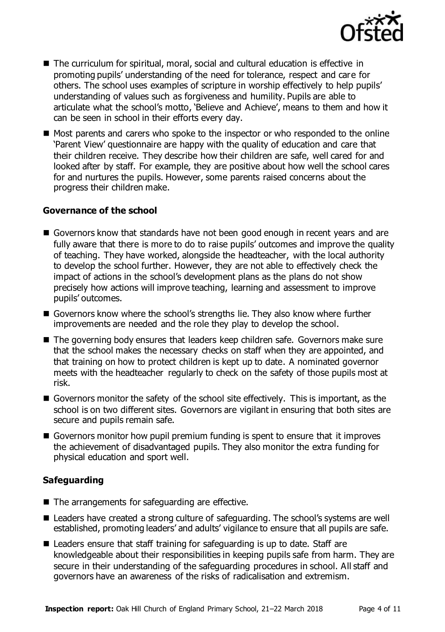

- The curriculum for spiritual, moral, social and cultural education is effective in promoting pupils' understanding of the need for tolerance, respect and care for others. The school uses examples of scripture in worship effectively to help pupils' understanding of values such as forgiveness and humility. Pupils are able to articulate what the school's motto, 'Believe and Achieve', means to them and how it can be seen in school in their efforts every day.
- Most parents and carers who spoke to the inspector or who responded to the online 'Parent View' questionnaire are happy with the quality of education and care that their children receive. They describe how their children are safe, well cared for and looked after by staff. For example, they are positive about how well the school cares for and nurtures the pupils. However, some parents raised concerns about the progress their children make.

### **Governance of the school**

- Governors know that standards have not been good enough in recent vears and are fully aware that there is more to do to raise pupils' outcomes and improve the quality of teaching. They have worked, alongside the headteacher, with the local authority to develop the school further. However, they are not able to effectively check the impact of actions in the school's development plans as the plans do not show precisely how actions will improve teaching, learning and assessment to improve pupils' outcomes.
- Governors know where the school's strengths lie. They also know where further improvements are needed and the role they play to develop the school.
- The governing body ensures that leaders keep children safe. Governors make sure that the school makes the necessary checks on staff when they are appointed, and that training on how to protect children is kept up to date. A nominated governor meets with the headteacher regularly to check on the safety of those pupils most at risk.
- Governors monitor the safety of the school site effectively. This is important, as the school is on two different sites. Governors are vigilant in ensuring that both sites are secure and pupils remain safe.
- Governors monitor how pupil premium funding is spent to ensure that it improves the achievement of disadvantaged pupils. They also monitor the extra funding for physical education and sport well.

### **Safeguarding**

- The arrangements for safeguarding are effective.
- Leaders have created a strong culture of safeguarding. The school's systems are well established, promoting leaders' and adults' vigilance to ensure that all pupils are safe.
- Leaders ensure that staff training for safeguarding is up to date. Staff are knowledgeable about their responsibilities in keeping pupils safe from harm. They are secure in their understanding of the safeguarding procedures in school. All staff and governors have an awareness of the risks of radicalisation and extremism.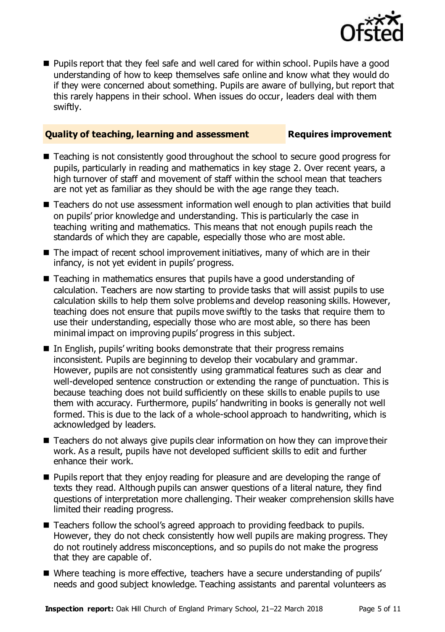

 Pupils report that they feel safe and well cared for within school. Pupils have a good understanding of how to keep themselves safe online and know what they would do if they were concerned about something. Pupils are aware of bullying, but report that this rarely happens in their school. When issues do occur, leaders deal with them swiftly.

#### **Quality of teaching, learning and assessment Requires improvement**

- Teaching is not consistently good throughout the school to secure good progress for pupils, particularly in reading and mathematics in key stage 2. Over recent years, a high turnover of staff and movement of staff within the school mean that teachers are not yet as familiar as they should be with the age range they teach.
- Teachers do not use assessment information well enough to plan activities that build on pupils' prior knowledge and understanding. This is particularly the case in teaching writing and mathematics. This means that not enough pupils reach the standards of which they are capable, especially those who are most able.
- The impact of recent school improvement initiatives, many of which are in their infancy, is not yet evident in pupils' progress.
- Teaching in mathematics ensures that pupils have a good understanding of calculation. Teachers are now starting to provide tasks that will assist pupils to use calculation skills to help them solve problems and develop reasoning skills. However, teaching does not ensure that pupils move swiftly to the tasks that require them to use their understanding, especially those who are most able, so there has been minimal impact on improving pupils' progress in this subject.
- $\blacksquare$  In English, pupils' writing books demonstrate that their progress remains inconsistent. Pupils are beginning to develop their vocabulary and grammar. However, pupils are not consistently using grammatical features such as clear and well-developed sentence construction or extending the range of punctuation. This is because teaching does not build sufficiently on these skills to enable pupils to use them with accuracy. Furthermore, pupils' handwriting in books is generally not well formed. This is due to the lack of a whole-school approach to handwriting, which is acknowledged by leaders.
- Teachers do not always give pupils clear information on how they can improve their work. As a result, pupils have not developed sufficient skills to edit and further enhance their work.
- **Pupils report that they enjoy reading for pleasure and are developing the range of** texts they read. Although pupils can answer questions of a literal nature, they find questions of interpretation more challenging. Their weaker comprehension skills have limited their reading progress.
- Teachers follow the school's agreed approach to providing feedback to pupils. However, they do not check consistently how well pupils are making progress. They do not routinely address misconceptions, and so pupils do not make the progress that they are capable of.
- Where teaching is more effective, teachers have a secure understanding of pupils' needs and good subject knowledge. Teaching assistants and parental volunteers as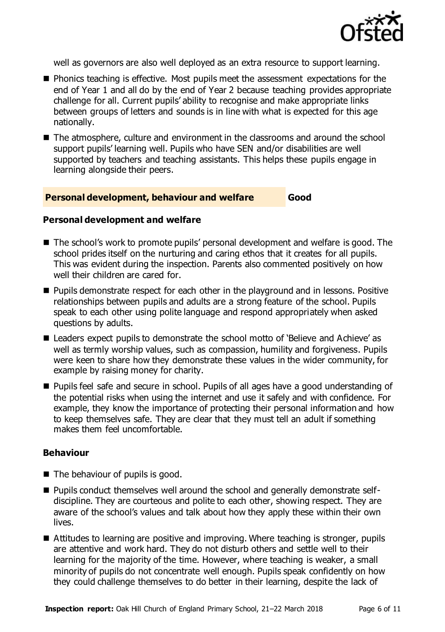

well as governors are also well deployed as an extra resource to support learning.

- **Phonics teaching is effective. Most pupils meet the assessment expectations for the** end of Year 1 and all do by the end of Year 2 because teaching provides appropriate challenge for all. Current pupils' ability to recognise and make appropriate links between groups of letters and sounds is in line with what is expected for this age nationally.
- The atmosphere, culture and environment in the classrooms and around the school support pupils' learning well. Pupils who have SEN and/or disabilities are well supported by teachers and teaching assistants. This helps these pupils engage in learning alongside their peers.

#### **Personal development, behaviour and welfare Good**

#### **Personal development and welfare**

- The school's work to promote pupils' personal development and welfare is good. The school prides itself on the nurturing and caring ethos that it creates for all pupils. This was evident during the inspection. Parents also commented positively on how well their children are cared for.
- **Pupils demonstrate respect for each other in the playground and in lessons. Positive** relationships between pupils and adults are a strong feature of the school. Pupils speak to each other using polite language and respond appropriately when asked questions by adults.
- Leaders expect pupils to demonstrate the school motto of 'Believe and Achieve' as well as termly worship values, such as compassion, humility and forgiveness. Pupils were keen to share how they demonstrate these values in the wider community, for example by raising money for charity.
- **Pupils feel safe and secure in school. Pupils of all ages have a good understanding of** the potential risks when using the internet and use it safely and with confidence. For example, they know the importance of protecting their personal information and how to keep themselves safe. They are clear that they must tell an adult if something makes them feel uncomfortable.

#### **Behaviour**

- The behaviour of pupils is good.
- Pupils conduct themselves well around the school and generally demonstrate selfdiscipline. They are courteous and polite to each other, showing respect. They are aware of the school's values and talk about how they apply these within their own lives.
- Attitudes to learning are positive and improving. Where teaching is stronger, pupils are attentive and work hard. They do not disturb others and settle well to their learning for the majority of the time. However, where teaching is weaker, a small minority of pupils do not concentrate well enough. Pupils speak confidently on how they could challenge themselves to do better in their learning, despite the lack of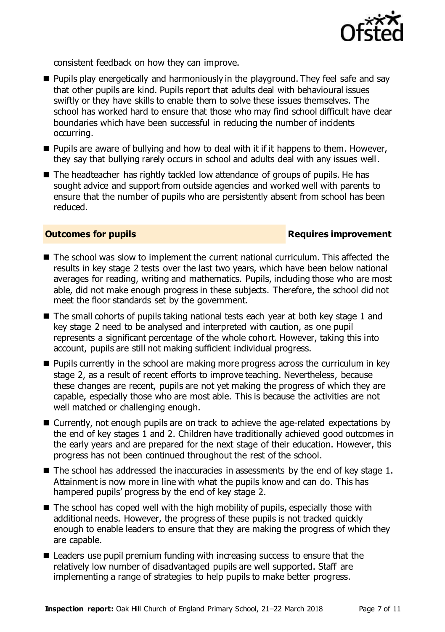

consistent feedback on how they can improve.

- $\blacksquare$  Pupils play energetically and harmoniously in the playground. They feel safe and say that other pupils are kind. Pupils report that adults deal with behavioural issues swiftly or they have skills to enable them to solve these issues themselves. The school has worked hard to ensure that those who may find school difficult have clear boundaries which have been successful in reducing the number of incidents occurring.
- $\blacksquare$  Pupils are aware of bullying and how to deal with it if it happens to them. However, they say that bullying rarely occurs in school and adults deal with any issues well.
- The headteacher has rightly tackled low attendance of groups of pupils. He has sought advice and support from outside agencies and worked well with parents to ensure that the number of pupils who are persistently absent from school has been reduced.

#### **Outcomes for pupils Requires improvement**

- The school was slow to implement the current national curriculum. This affected the results in key stage 2 tests over the last two years, which have been below national averages for reading, writing and mathematics. Pupils, including those who are most able, did not make enough progress in these subjects. Therefore, the school did not meet the floor standards set by the government.
- The small cohorts of pupils taking national tests each year at both key stage 1 and key stage 2 need to be analysed and interpreted with caution, as one pupil represents a significant percentage of the whole cohort. However, taking this into account, pupils are still not making sufficient individual progress.
- $\blacksquare$  Pupils currently in the school are making more progress across the curriculum in key stage 2, as a result of recent efforts to improve teaching. Nevertheless, because these changes are recent, pupils are not yet making the progress of which they are capable, especially those who are most able. This is because the activities are not well matched or challenging enough.
- Currently, not enough pupils are on track to achieve the age-related expectations by the end of key stages 1 and 2. Children have traditionally achieved good outcomes in the early years and are prepared for the next stage of their education. However, this progress has not been continued throughout the rest of the school.
- $\blacksquare$  The school has addressed the inaccuracies in assessments by the end of key stage 1. Attainment is now more in line with what the pupils know and can do. This has hampered pupils' progress by the end of key stage 2.
- $\blacksquare$  The school has coped well with the high mobility of pupils, especially those with additional needs. However, the progress of these pupils is not tracked quickly enough to enable leaders to ensure that they are making the progress of which they are capable.
- Leaders use pupil premium funding with increasing success to ensure that the relatively low number of disadvantaged pupils are well supported. Staff are implementing a range of strategies to help pupils to make better progress.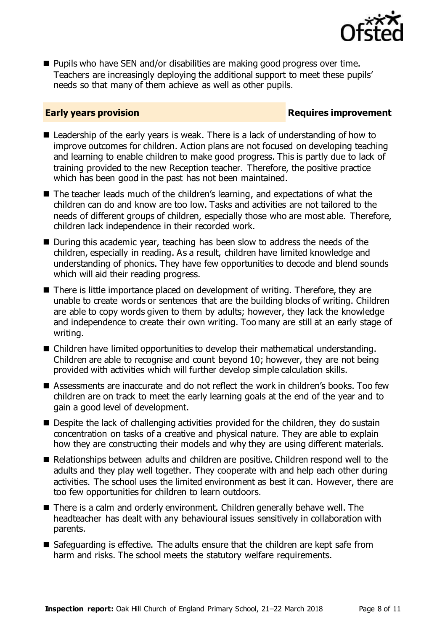

**Pupils who have SEN and/or disabilities are making good progress over time.** Teachers are increasingly deploying the additional support to meet these pupils' needs so that many of them achieve as well as other pupils.

#### **Early years provision Requires improvement**

- Leadership of the early years is weak. There is a lack of understanding of how to improve outcomes for children. Action plans are not focused on developing teaching and learning to enable children to make good progress. This is partly due to lack of training provided to the new Reception teacher. Therefore, the positive practice which has been good in the past has not been maintained.
- The teacher leads much of the children's learning, and expectations of what the children can do and know are too low. Tasks and activities are not tailored to the needs of different groups of children, especially those who are most able. Therefore, children lack independence in their recorded work.
- During this academic year, teaching has been slow to address the needs of the children, especially in reading. As a result, children have limited knowledge and understanding of phonics. They have few opportunities to decode and blend sounds which will aid their reading progress.
- There is little importance placed on development of writing. Therefore, they are unable to create words or sentences that are the building blocks of writing. Children are able to copy words given to them by adults; however, they lack the knowledge and independence to create their own writing. Too many are still at an early stage of writing.
- Children have limited opportunities to develop their mathematical understanding. Children are able to recognise and count beyond 10; however, they are not being provided with activities which will further develop simple calculation skills.
- Assessments are inaccurate and do not reflect the work in children's books. Too few children are on track to meet the early learning goals at the end of the year and to gain a good level of development.
- **Despite the lack of challenging activities provided for the children, they do sustain** concentration on tasks of a creative and physical nature. They are able to explain how they are constructing their models and why they are using different materials.
- Relationships between adults and children are positive. Children respond well to the adults and they play well together. They cooperate with and help each other during activities. The school uses the limited environment as best it can. However, there are too few opportunities for children to learn outdoors.
- There is a calm and orderly environment. Children generally behave well. The headteacher has dealt with any behavioural issues sensitively in collaboration with parents.
- Safeguarding is effective. The adults ensure that the children are kept safe from harm and risks. The school meets the statutory welfare requirements.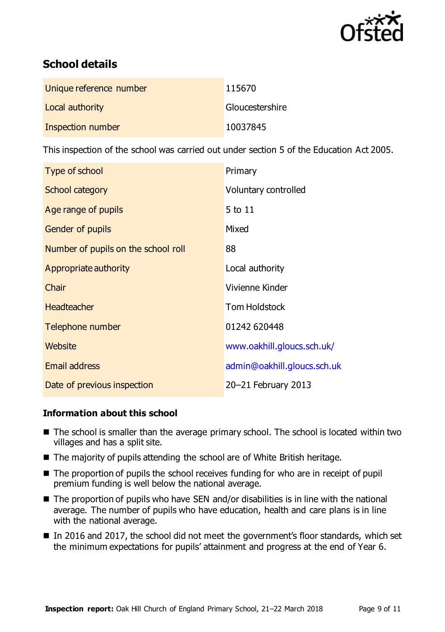

# **School details**

| Unique reference number | 115670          |
|-------------------------|-----------------|
| Local authority         | Gloucestershire |
| Inspection number       | 10037845        |

This inspection of the school was carried out under section 5 of the Education Act 2005.

| Type of school                      | Primary                     |
|-------------------------------------|-----------------------------|
| School category                     | Voluntary controlled        |
| Age range of pupils                 | 5 to 11                     |
| Gender of pupils                    | Mixed                       |
| Number of pupils on the school roll | 88                          |
| Appropriate authority               | Local authority             |
| Chair                               | Vivienne Kinder             |
| <b>Headteacher</b>                  | <b>Tom Holdstock</b>        |
| Telephone number                    | 01242 620448                |
| Website                             | www.oakhill.gloucs.sch.uk/  |
| <b>Email address</b>                | admin@oakhill.gloucs.sch.uk |
| Date of previous inspection         | 20-21 February 2013         |

### **Information about this school**

- The school is smaller than the average primary school. The school is located within two villages and has a split site.
- The majority of pupils attending the school are of White British heritage.
- The proportion of pupils the school receives funding for who are in receipt of pupil premium funding is well below the national average.
- The proportion of pupils who have SEN and/or disabilities is in line with the national average. The number of pupils who have education, health and care plans is in line with the national average.
- In 2016 and 2017, the school did not meet the government's floor standards, which set the minimum expectations for pupils' attainment and progress at the end of Year 6.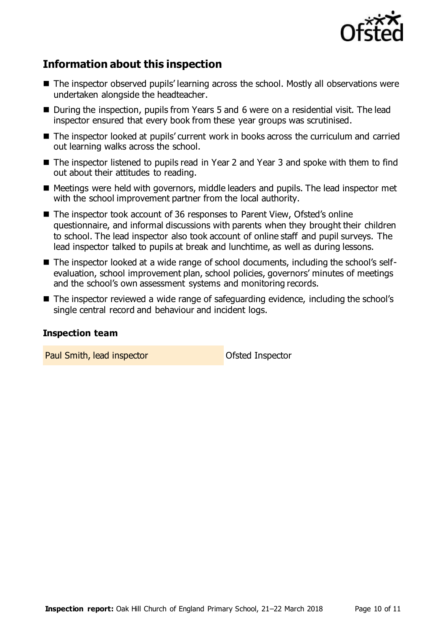

# **Information about this inspection**

- The inspector observed pupils' learning across the school. Mostly all observations were undertaken alongside the headteacher.
- During the inspection, pupils from Years 5 and 6 were on a residential visit. The lead inspector ensured that every book from these year groups was scrutinised.
- The inspector looked at pupils' current work in books across the curriculum and carried out learning walks across the school.
- The inspector listened to pupils read in Year 2 and Year 3 and spoke with them to find out about their attitudes to reading.
- Meetings were held with governors, middle leaders and pupils. The lead inspector met with the school improvement partner from the local authority.
- The inspector took account of 36 responses to Parent View, Ofsted's online questionnaire, and informal discussions with parents when they brought their children to school. The lead inspector also took account of online staff and pupil surveys. The lead inspector talked to pupils at break and lunchtime, as well as during lessons.
- The inspector looked at a wide range of school documents, including the school's selfevaluation, school improvement plan, school policies, governors' minutes of meetings and the school's own assessment systems and monitoring records.
- The inspector reviewed a wide range of safeguarding evidence, including the school's single central record and behaviour and incident logs.

#### **Inspection team**

Paul Smith, lead inspector **Department Constructs** Ofsted Inspector